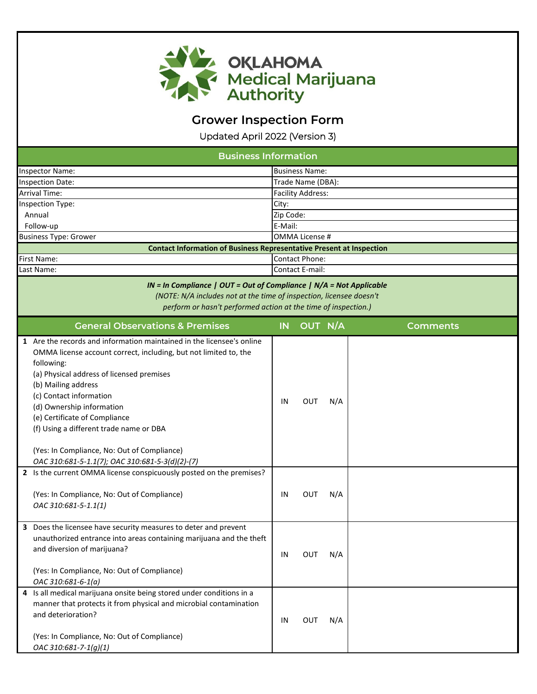

## **Grower Inspection Form**

Updated April 2022 (Version 3)

| <b>Business Information</b>                                                                                                                                                                                                                                                                                                                                                                                                                                                                                                                                                                                     |           |                          |            |                 |  |
|-----------------------------------------------------------------------------------------------------------------------------------------------------------------------------------------------------------------------------------------------------------------------------------------------------------------------------------------------------------------------------------------------------------------------------------------------------------------------------------------------------------------------------------------------------------------------------------------------------------------|-----------|--------------------------|------------|-----------------|--|
| Inspector Name:                                                                                                                                                                                                                                                                                                                                                                                                                                                                                                                                                                                                 |           | <b>Business Name:</b>    |            |                 |  |
| <b>Inspection Date:</b>                                                                                                                                                                                                                                                                                                                                                                                                                                                                                                                                                                                         |           | Trade Name (DBA):        |            |                 |  |
| Arrival Time:                                                                                                                                                                                                                                                                                                                                                                                                                                                                                                                                                                                                   |           | <b>Facility Address:</b> |            |                 |  |
| <b>Inspection Type:</b>                                                                                                                                                                                                                                                                                                                                                                                                                                                                                                                                                                                         | City:     |                          |            |                 |  |
| Annual                                                                                                                                                                                                                                                                                                                                                                                                                                                                                                                                                                                                          | Zip Code: |                          |            |                 |  |
| Follow-up                                                                                                                                                                                                                                                                                                                                                                                                                                                                                                                                                                                                       | E-Mail:   |                          |            |                 |  |
| <b>Business Type: Grower</b>                                                                                                                                                                                                                                                                                                                                                                                                                                                                                                                                                                                    |           | <b>OMMA License #</b>    |            |                 |  |
| <b>Contact Information of Business Representative Present at Inspection</b>                                                                                                                                                                                                                                                                                                                                                                                                                                                                                                                                     |           |                          |            |                 |  |
| <b>First Name:</b>                                                                                                                                                                                                                                                                                                                                                                                                                                                                                                                                                                                              |           | <b>Contact Phone:</b>    |            |                 |  |
| Last Name:                                                                                                                                                                                                                                                                                                                                                                                                                                                                                                                                                                                                      |           | <b>Contact E-mail:</b>   |            |                 |  |
| $IN = In$ Compliance   OUT = Out of Compliance   N/A = Not Applicable<br>(NOTE: N/A includes not at the time of inspection, licensee doesn't<br>perform or hasn't performed action at the time of inspection.)                                                                                                                                                                                                                                                                                                                                                                                                  |           |                          |            |                 |  |
| <b>General Observations &amp; Premises</b>                                                                                                                                                                                                                                                                                                                                                                                                                                                                                                                                                                      | IN        | OUT N/A                  |            | <b>Comments</b> |  |
| 1 Are the records and information maintained in the licensee's online<br>OMMA license account correct, including, but not limited to, the<br>following:<br>(a) Physical address of licensed premises<br>(b) Mailing address<br>(c) Contact information<br>(d) Ownership information<br>(e) Certificate of Compliance<br>(f) Using a different trade name or DBA<br>(Yes: In Compliance, No: Out of Compliance)<br>OAC 310:681-5-1.1(7); OAC 310:681-5-3(d)(2)-(7)<br>2 Is the current OMMA license conspicuously posted on the premises?<br>(Yes: In Compliance, No: Out of Compliance)<br>OAC 310:681-5-1.1(1) | IN<br>IN  | <b>OUT</b><br>OUT        | N/A<br>N/A |                 |  |
| 3 Does the licensee have security measures to deter and prevent<br>unauthorized entrance into areas containing marijuana and the theft<br>and diversion of marijuana?<br>(Yes: In Compliance, No: Out of Compliance)<br>OAC 310:681-6-1(a)<br>4 Is all medical marijuana onsite being stored under conditions in a<br>manner that protects it from physical and microbial contamination                                                                                                                                                                                                                         | IN        | OUT                      | N/A        |                 |  |
| and deterioration?<br>(Yes: In Compliance, No: Out of Compliance)<br>OAC 310:681-7-1(g)(1)                                                                                                                                                                                                                                                                                                                                                                                                                                                                                                                      | IN        | OUT                      | N/A        |                 |  |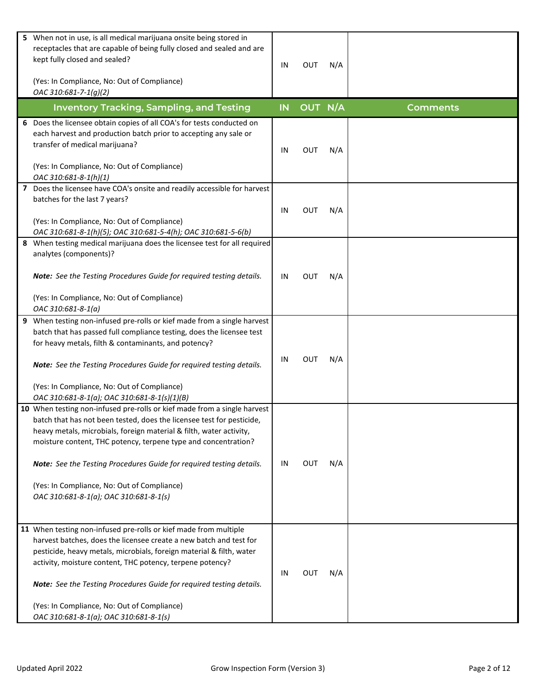| 5 When not in use, is all medical marijuana onsite being stored in<br>receptacles that are capable of being fully closed and sealed and are<br>kept fully closed and sealed?<br>(Yes: In Compliance, No: Out of Compliance)<br>OAC 310:681-7-1(g)(2)                                                                                                                                                                                                        | IN        | <b>OUT</b> | N/A |                 |
|-------------------------------------------------------------------------------------------------------------------------------------------------------------------------------------------------------------------------------------------------------------------------------------------------------------------------------------------------------------------------------------------------------------------------------------------------------------|-----------|------------|-----|-----------------|
| <b>Inventory Tracking, Sampling, and Testing</b>                                                                                                                                                                                                                                                                                                                                                                                                            | <b>IN</b> | OUT N/A    |     | <b>Comments</b> |
| 6 Does the licensee obtain copies of all COA's for tests conducted on<br>each harvest and production batch prior to accepting any sale or<br>transfer of medical marijuana?                                                                                                                                                                                                                                                                                 | IN        | OUT        | N/A |                 |
| (Yes: In Compliance, No: Out of Compliance)<br>OAC 310:681-8-1(h)(1)                                                                                                                                                                                                                                                                                                                                                                                        |           |            |     |                 |
| 7 Does the licensee have COA's onsite and readily accessible for harvest<br>batches for the last 7 years?<br>(Yes: In Compliance, No: Out of Compliance)<br>OAC 310:681-8-1(h)(5); OAC 310:681-5-4(h); OAC 310:681-5-6(b)                                                                                                                                                                                                                                   | IN        | <b>OUT</b> | N/A |                 |
| 8 When testing medical marijuana does the licensee test for all required<br>analytes (components)?<br>Note: See the Testing Procedures Guide for required testing details.<br>(Yes: In Compliance, No: Out of Compliance)<br>OAC 310:681-8-1(a)                                                                                                                                                                                                             | IN        | <b>OUT</b> | N/A |                 |
| 9 When testing non-infused pre-rolls or kief made from a single harvest<br>batch that has passed full compliance testing, does the licensee test<br>for heavy metals, filth & contaminants, and potency?<br>Note: See the Testing Procedures Guide for required testing details.<br>(Yes: In Compliance, No: Out of Compliance)<br>OAC 310:681-8-1(a); OAC 310:681-8-1(s)(1)(B)                                                                             | IN        | <b>OUT</b> | N/A |                 |
| 10 When testing non-infused pre-rolls or kief made from a single harvest<br>batch that has not been tested, does the licensee test for pesticide,<br>heavy metals, microbials, foreign material & filth, water activity,<br>moisture content, THC potency, terpene type and concentration?<br>Note: See the Testing Procedures Guide for required testing details.<br>(Yes: In Compliance, No: Out of Compliance)<br>OAC 310:681-8-1(a); OAC 310:681-8-1(s) | IN        | OUT        | N/A |                 |
| 11 When testing non-infused pre-rolls or kief made from multiple<br>harvest batches, does the licensee create a new batch and test for<br>pesticide, heavy metals, microbials, foreign material & filth, water<br>activity, moisture content, THC potency, terpene potency?<br>Note: See the Testing Procedures Guide for required testing details.<br>(Yes: In Compliance, No: Out of Compliance)<br>OAC 310:681-8-1(a); OAC 310:681-8-1(s)                | IN        | <b>OUT</b> | N/A |                 |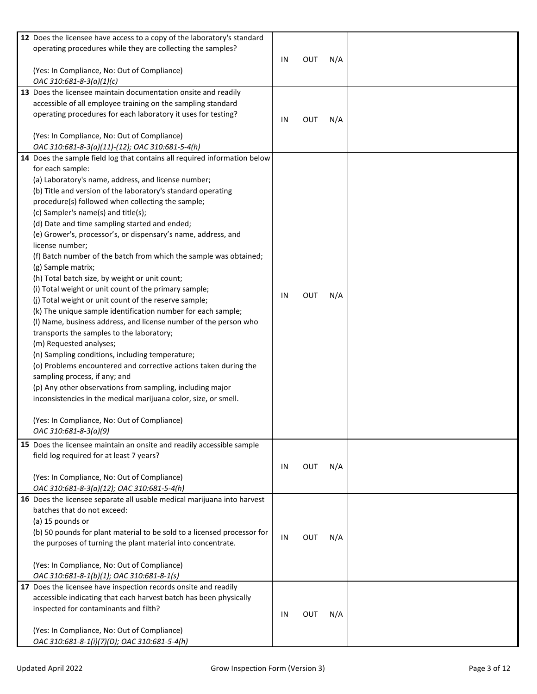| 12 Does the licensee have access to a copy of the laboratory's standard   |    |            |     |  |
|---------------------------------------------------------------------------|----|------------|-----|--|
| operating procedures while they are collecting the samples?               |    |            |     |  |
|                                                                           | IN | <b>OUT</b> | N/A |  |
| (Yes: In Compliance, No: Out of Compliance)                               |    |            |     |  |
| OAC 310:681-8-3(a)(1)(c)                                                  |    |            |     |  |
| 13 Does the licensee maintain documentation onsite and readily            |    |            |     |  |
| accessible of all employee training on the sampling standard              |    |            |     |  |
|                                                                           |    |            |     |  |
| operating procedures for each laboratory it uses for testing?             | IN | <b>OUT</b> | N/A |  |
|                                                                           |    |            |     |  |
| (Yes: In Compliance, No: Out of Compliance)                               |    |            |     |  |
| OAC 310:681-8-3(a)(11)-(12); OAC 310:681-5-4(h)                           |    |            |     |  |
| 14 Does the sample field log that contains all required information below |    |            |     |  |
| for each sample:                                                          |    |            |     |  |
| (a) Laboratory's name, address, and license number;                       |    |            |     |  |
| (b) Title and version of the laboratory's standard operating              |    |            |     |  |
| procedure(s) followed when collecting the sample;                         |    |            |     |  |
| (c) Sampler's name(s) and title(s);                                       |    |            |     |  |
| (d) Date and time sampling started and ended;                             |    |            |     |  |
| (e) Grower's, processor's, or dispensary's name, address, and             |    |            |     |  |
| license number;                                                           |    |            |     |  |
| (f) Batch number of the batch from which the sample was obtained;         |    |            |     |  |
| (g) Sample matrix;                                                        |    |            |     |  |
| (h) Total batch size, by weight or unit count;                            |    |            |     |  |
| (i) Total weight or unit count of the primary sample;                     |    |            |     |  |
| (j) Total weight or unit count of the reserve sample;                     | IN | <b>OUT</b> | N/A |  |
| (k) The unique sample identification number for each sample;              |    |            |     |  |
| (I) Name, business address, and license number of the person who          |    |            |     |  |
|                                                                           |    |            |     |  |
| transports the samples to the laboratory;                                 |    |            |     |  |
| (m) Requested analyses;                                                   |    |            |     |  |
| (n) Sampling conditions, including temperature;                           |    |            |     |  |
| (o) Problems encountered and corrective actions taken during the          |    |            |     |  |
| sampling process, if any; and                                             |    |            |     |  |
| (p) Any other observations from sampling, including major                 |    |            |     |  |
| inconsistencies in the medical marijuana color, size, or smell.           |    |            |     |  |
|                                                                           |    |            |     |  |
| (Yes: In Compliance, No: Out of Compliance)                               |    |            |     |  |
| OAC 310:681-8-3(a)(9)                                                     |    |            |     |  |
| 15 Does the licensee maintain an onsite and readily accessible sample     |    |            |     |  |
| field log required for at least 7 years?                                  |    |            |     |  |
|                                                                           | IN | <b>OUT</b> | N/A |  |
| (Yes: In Compliance, No: Out of Compliance)                               |    |            |     |  |
| OAC 310:681-8-3(a)(12); OAC 310:681-5-4(h)                                |    |            |     |  |
| 16 Does the licensee separate all usable medical marijuana into harvest   |    |            |     |  |
| batches that do not exceed:                                               |    |            |     |  |
| (a) 15 pounds or                                                          |    |            |     |  |
|                                                                           |    |            |     |  |
| (b) 50 pounds for plant material to be sold to a licensed processor for   | IN | <b>OUT</b> | N/A |  |
| the purposes of turning the plant material into concentrate.              |    |            |     |  |
|                                                                           |    |            |     |  |
| (Yes: In Compliance, No: Out of Compliance)                               |    |            |     |  |
| OAC 310:681-8-1(b)(1); OAC 310:681-8-1(s)                                 |    |            |     |  |
| 17 Does the licensee have inspection records onsite and readily           |    |            |     |  |
| accessible indicating that each harvest batch has been physically         |    |            |     |  |
| inspected for contaminants and filth?                                     | IN | <b>OUT</b> | N/A |  |
|                                                                           |    |            |     |  |
| (Yes: In Compliance, No: Out of Compliance)                               |    |            |     |  |
| OAC 310:681-8-1(i)(7)(D); OAC 310:681-5-4(h)                              |    |            |     |  |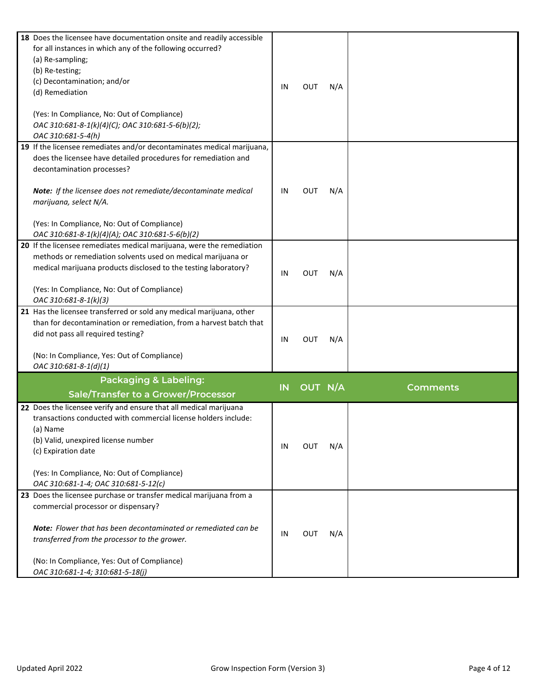| 18 Does the licensee have documentation onsite and readily accessible<br>for all instances in which any of the following occurred?<br>(a) Re-sampling;<br>(b) Re-testing;<br>(c) Decontamination; and/or<br>(d) Remediation<br>(Yes: In Compliance, No: Out of Compliance)<br>OAC 310:681-8-1(k)(4)(C); OAC 310:681-5-6(b)(2);<br>OAC 310:681-5-4(h)                 | IN | <b>OUT</b> | N/A |                 |
|----------------------------------------------------------------------------------------------------------------------------------------------------------------------------------------------------------------------------------------------------------------------------------------------------------------------------------------------------------------------|----|------------|-----|-----------------|
| 19 If the licensee remediates and/or decontaminates medical marijuana,<br>does the licensee have detailed procedures for remediation and<br>decontamination processes?<br>Note: If the licensee does not remediate/decontaminate medical<br>marijuana, select N/A.<br>(Yes: In Compliance, No: Out of Compliance)<br>OAC 310:681-8-1(k)(4)(A); OAC 310:681-5-6(b)(2) | IN | OUT        | N/A |                 |
| 20 If the licensee remediates medical marijuana, were the remediation<br>methods or remediation solvents used on medical marijuana or<br>medical marijuana products disclosed to the testing laboratory?<br>(Yes: In Compliance, No: Out of Compliance)<br>OAC 310:681-8-1(k)(3)                                                                                     | IN | <b>OUT</b> | N/A |                 |
| 21 Has the licensee transferred or sold any medical marijuana, other<br>than for decontamination or remediation, from a harvest batch that<br>did not pass all required testing?<br>(No: In Compliance, Yes: Out of Compliance)<br>OAC 310:681-8-1(d)(1)                                                                                                             | IN | <b>OUT</b> | N/A |                 |
| <b>Packaging &amp; Labeling:</b><br>Sale/Transfer to a Grower/Processor                                                                                                                                                                                                                                                                                              | IN | OUT N/A    |     | <b>Comments</b> |
| 22 Does the licensee verify and ensure that all medical marijuana<br>transactions conducted with commercial license holders include:<br>(a) Name<br>(b) Valid, unexpired license number<br>(c) Expiration date<br>(Yes: In Compliance, No: Out of Compliance)<br>OAC 310:681-1-4; OAC 310:681-5-12(c)                                                                | IN | <b>OUT</b> | N/A |                 |
| 23 Does the licensee purchase or transfer medical marijuana from a<br>commercial processor or dispensary?<br><b>Note:</b> Flower that has been decontaminated or remediated can be<br>transferred from the processor to the grower.<br>(No: In Compliance, Yes: Out of Compliance)<br>OAC 310:681-1-4; 310:681-5-18(j)                                               | IN | <b>OUT</b> | N/A |                 |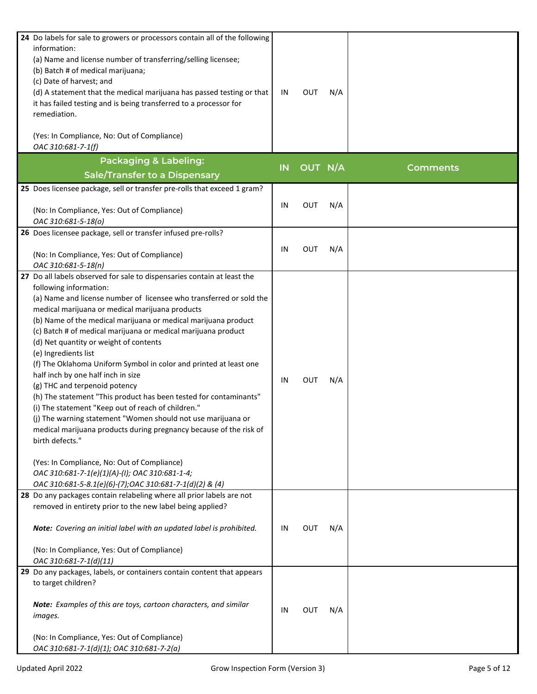| 24 Do labels for sale to growers or processors contain all of the following<br>information:<br>(a) Name and license number of transferring/selling licensee;<br>(b) Batch # of medical marijuana;<br>(c) Date of harvest; and<br>(d) A statement that the medical marijuana has passed testing or that<br>it has failed testing and is being transferred to a processor for<br>remediation.<br>(Yes: In Compliance, No: Out of Compliance)                                                                                                                                                                                                                                                                                                                                                                                                                                                                                                                                                                                   | IN | <b>OUT</b> | N/A |                 |
|------------------------------------------------------------------------------------------------------------------------------------------------------------------------------------------------------------------------------------------------------------------------------------------------------------------------------------------------------------------------------------------------------------------------------------------------------------------------------------------------------------------------------------------------------------------------------------------------------------------------------------------------------------------------------------------------------------------------------------------------------------------------------------------------------------------------------------------------------------------------------------------------------------------------------------------------------------------------------------------------------------------------------|----|------------|-----|-----------------|
| OAC 310:681-7-1(f)                                                                                                                                                                                                                                                                                                                                                                                                                                                                                                                                                                                                                                                                                                                                                                                                                                                                                                                                                                                                           |    |            |     |                 |
| <b>Packaging &amp; Labeling:</b>                                                                                                                                                                                                                                                                                                                                                                                                                                                                                                                                                                                                                                                                                                                                                                                                                                                                                                                                                                                             |    |            |     |                 |
| <b>Sale/Transfer to a Dispensary</b>                                                                                                                                                                                                                                                                                                                                                                                                                                                                                                                                                                                                                                                                                                                                                                                                                                                                                                                                                                                         | IN | OUT N/A    |     | <b>Comments</b> |
| 25 Does licensee package, sell or transfer pre-rolls that exceed 1 gram?                                                                                                                                                                                                                                                                                                                                                                                                                                                                                                                                                                                                                                                                                                                                                                                                                                                                                                                                                     |    |            |     |                 |
| (No: In Compliance, Yes: Out of Compliance)<br>OAC 310:681-5-18(o)                                                                                                                                                                                                                                                                                                                                                                                                                                                                                                                                                                                                                                                                                                                                                                                                                                                                                                                                                           | IN | <b>OUT</b> | N/A |                 |
| 26 Does licensee package, sell or transfer infused pre-rolls?                                                                                                                                                                                                                                                                                                                                                                                                                                                                                                                                                                                                                                                                                                                                                                                                                                                                                                                                                                |    |            |     |                 |
| (No: In Compliance, Yes: Out of Compliance)<br>OAC 310:681-5-18(n)                                                                                                                                                                                                                                                                                                                                                                                                                                                                                                                                                                                                                                                                                                                                                                                                                                                                                                                                                           | IN | <b>OUT</b> | N/A |                 |
| 27 Do all labels observed for sale to dispensaries contain at least the<br>following information:<br>(a) Name and license number of licensee who transferred or sold the<br>medical marijuana or medical marijuana products<br>(b) Name of the medical marijuana or medical marijuana product<br>(c) Batch # of medical marijuana or medical marijuana product<br>(d) Net quantity or weight of contents<br>(e) Ingredients list<br>(f) The Oklahoma Uniform Symbol in color and printed at least one<br>half inch by one half inch in size<br>(g) THC and terpenoid potency<br>(h) The statement "This product has been tested for contaminants"<br>(i) The statement "Keep out of reach of children."<br>(j) The warning statement "Women should not use marijuana or<br>medical marijuana products during pregnancy because of the risk of<br>birth defects."<br>(Yes: In Compliance, No: Out of Compliance)<br>OAC 310:681-7-1(e)(1)(A)-(I); OAC 310:681-1-4;<br>OAC 310:681-5-8.1(e)(6)-(7);OAC 310:681-7-1(d)(2) & (4) | IN | <b>OUT</b> | N/A |                 |
| 28 Do any packages contain relabeling where all prior labels are not<br>removed in entirety prior to the new label being applied?<br>Note: Covering an initial label with an updated label is prohibited.<br>(No: In Compliance, Yes: Out of Compliance)<br>OAC 310:681-7-1(d)(11)                                                                                                                                                                                                                                                                                                                                                                                                                                                                                                                                                                                                                                                                                                                                           | IN | <b>OUT</b> | N/A |                 |
| 29 Do any packages, labels, or containers contain content that appears<br>to target children?<br>Note: Examples of this are toys, cartoon characters, and similar<br>images.<br>(No: In Compliance, Yes: Out of Compliance)<br>OAC 310:681-7-1(d)(1); OAC 310:681-7-2(a)                                                                                                                                                                                                                                                                                                                                                                                                                                                                                                                                                                                                                                                                                                                                                     | IN | <b>OUT</b> | N/A |                 |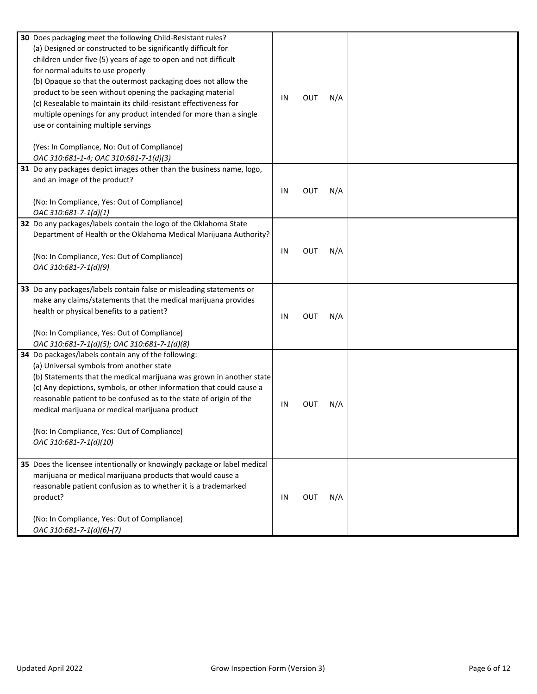| 30 Does packaging meet the following Child-Resistant rules?<br>(a) Designed or constructed to be significantly difficult for<br>children under five (5) years of age to open and not difficult<br>for normal adults to use properly<br>(b) Opaque so that the outermost packaging does not allow the<br>product to be seen without opening the packaging material<br>(c) Resealable to maintain its child-resistant effectiveness for<br>multiple openings for any product intended for more than a single<br>use or containing multiple servings<br>(Yes: In Compliance, No: Out of Compliance)<br>OAC 310:681-1-4; OAC 310:681-7-1(d)(3) | IN | OUT | N/A |  |
|--------------------------------------------------------------------------------------------------------------------------------------------------------------------------------------------------------------------------------------------------------------------------------------------------------------------------------------------------------------------------------------------------------------------------------------------------------------------------------------------------------------------------------------------------------------------------------------------------------------------------------------------|----|-----|-----|--|
| 31 Do any packages depict images other than the business name, logo,<br>and an image of the product?<br>(No: In Compliance, Yes: Out of Compliance)<br>OAC 310:681-7-1(d)(1)                                                                                                                                                                                                                                                                                                                                                                                                                                                               | IN | OUT | N/A |  |
| 32 Do any packages/labels contain the logo of the Oklahoma State<br>Department of Health or the Oklahoma Medical Marijuana Authority?<br>(No: In Compliance, Yes: Out of Compliance)<br>OAC 310:681-7-1(d)(9)                                                                                                                                                                                                                                                                                                                                                                                                                              | IN | OUT | N/A |  |
| 33 Do any packages/labels contain false or misleading statements or<br>make any claims/statements that the medical marijuana provides<br>health or physical benefits to a patient?<br>(No: In Compliance, Yes: Out of Compliance)<br>OAC 310:681-7-1(d)(5); OAC 310:681-7-1(d)(8)                                                                                                                                                                                                                                                                                                                                                          | IN | OUT | N/A |  |
| 34 Do packages/labels contain any of the following:<br>(a) Universal symbols from another state<br>(b) Statements that the medical marijuana was grown in another state<br>(c) Any depictions, symbols, or other information that could cause a<br>reasonable patient to be confused as to the state of origin of the<br>medical marijuana or medical marijuana product<br>(No: In Compliance, Yes: Out of Compliance)<br>OAC 310:681-7-1(d)(10)                                                                                                                                                                                           | IN | Ουτ | N/A |  |
| 35 Does the licensee intentionally or knowingly package or label medical<br>marijuana or medical marijuana products that would cause a<br>reasonable patient confusion as to whether it is a trademarked<br>product?<br>(No: In Compliance, Yes: Out of Compliance)<br>OAC 310:681-7-1(d)(6)-(7)                                                                                                                                                                                                                                                                                                                                           | IN | OUT | N/A |  |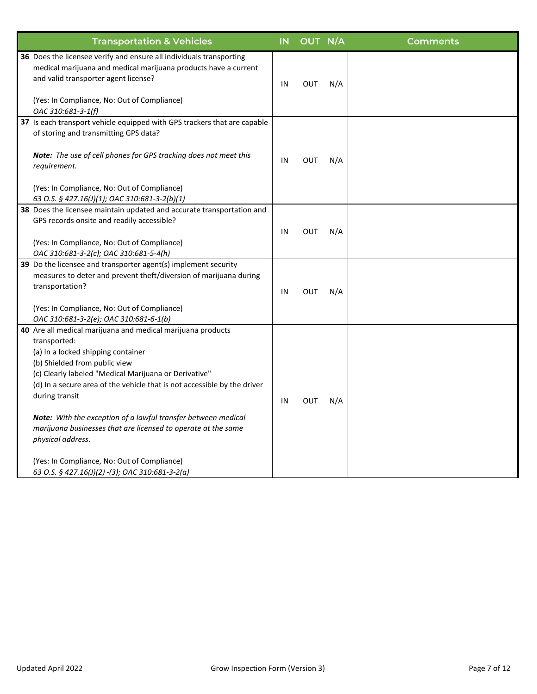| <b>Transportation &amp; Vehicles</b>                                                                                                                                                                                                                                                                                                                                                                                                                                                                                                                               | IN | OUT N/A    |     | <b>Comments</b> |
|--------------------------------------------------------------------------------------------------------------------------------------------------------------------------------------------------------------------------------------------------------------------------------------------------------------------------------------------------------------------------------------------------------------------------------------------------------------------------------------------------------------------------------------------------------------------|----|------------|-----|-----------------|
| 36 Does the licensee verify and ensure all individuals transporting<br>medical marijuana and medical marijuana products have a current<br>and valid transporter agent license?<br>(Yes: In Compliance, No: Out of Compliance)<br>OAC 310:681-3-1(f)                                                                                                                                                                                                                                                                                                                | IN | <b>OUT</b> | N/A |                 |
| 37 Is each transport vehicle equipped with GPS trackers that are capable<br>of storing and transmitting GPS data?<br>Note: The use of cell phones for GPS tracking does not meet this<br>requirement.<br>(Yes: In Compliance, No: Out of Compliance)<br>63 O.S. § 427.16(J)(1); OAC 310:681-3-2(b)(1)                                                                                                                                                                                                                                                              | IN | <b>OUT</b> | N/A |                 |
| 38 Does the licensee maintain updated and accurate transportation and<br>GPS records onsite and readily accessible?<br>(Yes: In Compliance, No: Out of Compliance)<br>OAC 310:681-3-2(c); OAC 310:681-5-4(h)                                                                                                                                                                                                                                                                                                                                                       | IN | <b>OUT</b> | N/A |                 |
| 39 Do the licensee and transporter agent(s) implement security<br>measures to deter and prevent theft/diversion of marijuana during<br>transportation?<br>(Yes: In Compliance, No: Out of Compliance)<br>OAC 310:681-3-2(e); OAC 310:681-6-1(b)                                                                                                                                                                                                                                                                                                                    | IN | <b>OUT</b> | N/A |                 |
| 40 Are all medical marijuana and medical marijuana products<br>transported:<br>(a) In a locked shipping container<br>(b) Shielded from public view<br>(c) Clearly labeled "Medical Marijuana or Derivative"<br>(d) In a secure area of the vehicle that is not accessible by the driver<br>during transit<br>Note: With the exception of a lawful transfer between medical<br>marijuana businesses that are licensed to operate at the same<br>physical address.<br>(Yes: In Compliance, No: Out of Compliance)<br>63 O.S. § 427.16(J)(2) -(3); OAC 310:681-3-2(a) | IN | <b>OUT</b> | N/A |                 |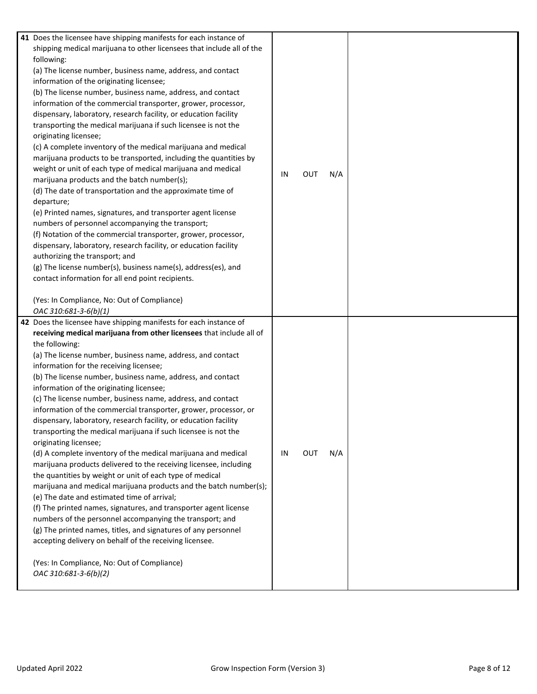| 41 Does the licensee have shipping manifests for each instance of<br>shipping medical marijuana to other licensees that include all of the<br>following:<br>(a) The license number, business name, address, and contact<br>information of the originating licensee;<br>(b) The license number, business name, address, and contact<br>information of the commercial transporter, grower, processor,<br>dispensary, laboratory, research facility, or education facility<br>transporting the medical marijuana if such licensee is not the<br>originating licensee;<br>(c) A complete inventory of the medical marijuana and medical<br>marijuana products to be transported, including the quantities by<br>weight or unit of each type of medical marijuana and medical<br>marijuana products and the batch number(s);<br>(d) The date of transportation and the approximate time of<br>departure;<br>(e) Printed names, signatures, and transporter agent license<br>numbers of personnel accompanying the transport;<br>(f) Notation of the commercial transporter, grower, processor,<br>dispensary, laboratory, research facility, or education facility<br>authorizing the transport; and<br>(g) The license number(s), business name(s), address(es), and<br>contact information for all end point recipients.<br>(Yes: In Compliance, No: Out of Compliance)<br>OAC 310:681-3-6(b)(1) | IN | <b>OUT</b> | N/A |  |
|-----------------------------------------------------------------------------------------------------------------------------------------------------------------------------------------------------------------------------------------------------------------------------------------------------------------------------------------------------------------------------------------------------------------------------------------------------------------------------------------------------------------------------------------------------------------------------------------------------------------------------------------------------------------------------------------------------------------------------------------------------------------------------------------------------------------------------------------------------------------------------------------------------------------------------------------------------------------------------------------------------------------------------------------------------------------------------------------------------------------------------------------------------------------------------------------------------------------------------------------------------------------------------------------------------------------------------------------------------------------------------------------------|----|------------|-----|--|
| 42 Does the licensee have shipping manifests for each instance of<br>receiving medical marijuana from other licensees that include all of<br>the following:<br>(a) The license number, business name, address, and contact<br>information for the receiving licensee;<br>(b) The license number, business name, address, and contact<br>information of the originating licensee;<br>(c) The license number, business name, address, and contact<br>information of the commercial transporter, grower, processor, or<br>dispensary, laboratory, research facility, or education facility<br>transporting the medical marijuana if such licensee is not the<br>originating licensee;<br>(d) A complete inventory of the medical marijuana and medical<br>marijuana products delivered to the receiving licensee, including<br>the quantities by weight or unit of each type of medical<br>marijuana and medical marijuana products and the batch number(s);<br>(e) The date and estimated time of arrival;<br>(f) The printed names, signatures, and transporter agent license<br>numbers of the personnel accompanying the transport; and<br>(g) The printed names, titles, and signatures of any personnel<br>accepting delivery on behalf of the receiving licensee.<br>(Yes: In Compliance, No: Out of Compliance)<br>OAC 310:681-3-6(b)(2)                                                 | IN | OUT        | N/A |  |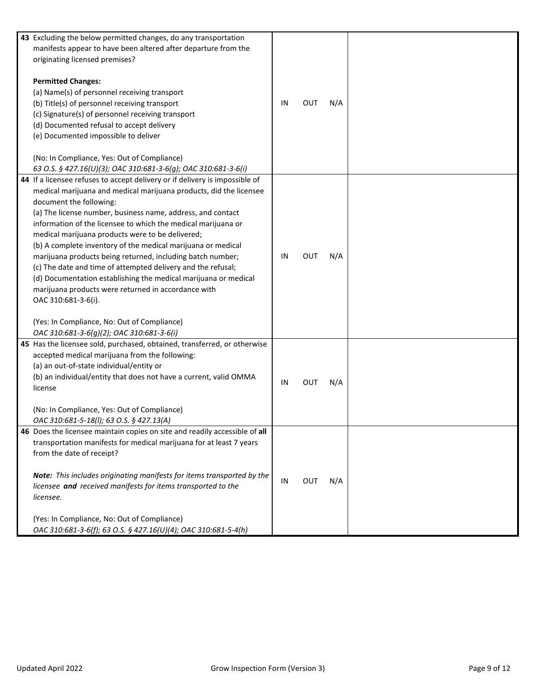| 43 Excluding the below permitted changes, do any transportation<br>manifests appear to have been altered after departure from the<br>originating licensed premises?<br><b>Permitted Changes:</b><br>(a) Name(s) of personnel receiving transport<br>(b) Title(s) of personnel receiving transport                                                                                                                                                                                                                                                                                                                                                                                                                                                                                                           | IN | OUT        | N/A |  |
|-------------------------------------------------------------------------------------------------------------------------------------------------------------------------------------------------------------------------------------------------------------------------------------------------------------------------------------------------------------------------------------------------------------------------------------------------------------------------------------------------------------------------------------------------------------------------------------------------------------------------------------------------------------------------------------------------------------------------------------------------------------------------------------------------------------|----|------------|-----|--|
| (c) Signature(s) of personnel receiving transport<br>(d) Documented refusal to accept delivery<br>(e) Documented impossible to deliver<br>(No: In Compliance, Yes: Out of Compliance)<br>63 O.S. § 427.16(U)(3); OAC 310:681-3-6(g); OAC 310:681-3-6(i)                                                                                                                                                                                                                                                                                                                                                                                                                                                                                                                                                     |    |            |     |  |
| 44 If a licensee refuses to accept delivery or if delivery is impossible of<br>medical marijuana and medical marijuana products, did the licensee<br>document the following:<br>(a) The license number, business name, address, and contact<br>information of the licensee to which the medical marijuana or<br>medical marijuana products were to be delivered;<br>(b) A complete inventory of the medical marijuana or medical<br>marijuana products being returned, including batch number;<br>(c) The date and time of attempted delivery and the refusal;<br>(d) Documentation establishing the medical marijuana or medical<br>marijuana products were returned in accordance with<br>OAC 310:681-3-6(i).<br>(Yes: In Compliance, No: Out of Compliance)<br>OAC 310:681-3-6(g)(2); OAC 310:681-3-6(i) | IN | <b>OUT</b> | N/A |  |
| 45 Has the licensee sold, purchased, obtained, transferred, or otherwise<br>accepted medical marijuana from the following:<br>(a) an out-of-state individual/entity or<br>(b) an individual/entity that does not have a current, valid OMMA<br>license<br>(No: In Compliance, Yes: Out of Compliance)<br>OAC 310:681-5-18(I); 63 O.S. § 427.13(A)                                                                                                                                                                                                                                                                                                                                                                                                                                                           | IN | OUT        | N/A |  |
| 46 Does the licensee maintain copies on site and readily accessible of all<br>transportation manifests for medical marijuana for at least 7 years<br>from the date of receipt?<br>Note: This includes originating manifests for items transported by the<br>licensee and received manifests for items transported to the<br>licensee.<br>(Yes: In Compliance, No: Out of Compliance)<br>OAC 310:681-3-6(f); 63 O.S. § 427.16(U)(4); OAC 310:681-5-4(h)                                                                                                                                                                                                                                                                                                                                                      | IN | <b>OUT</b> | N/A |  |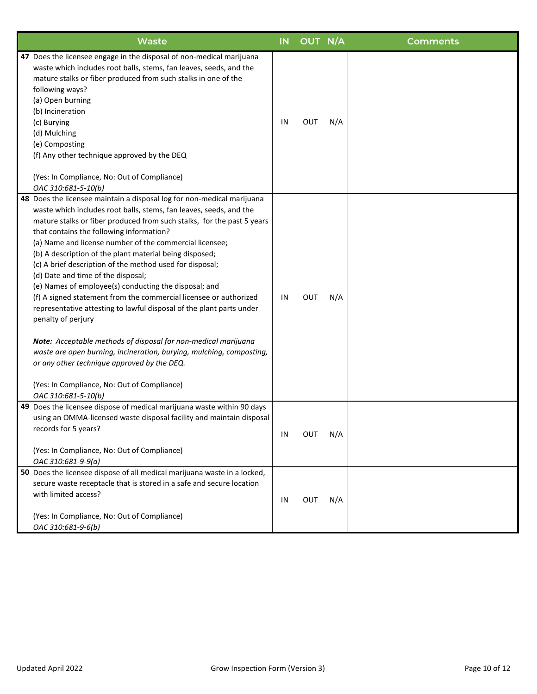| <b>Waste</b>                                                                                                                                                                                                                                                                                                                                                                                                                                                                                                                                                                                                                                                                                                                                                                                                                                                                                                                                                                          | IN | OUT N/A    |     | <b>Comments</b> |
|---------------------------------------------------------------------------------------------------------------------------------------------------------------------------------------------------------------------------------------------------------------------------------------------------------------------------------------------------------------------------------------------------------------------------------------------------------------------------------------------------------------------------------------------------------------------------------------------------------------------------------------------------------------------------------------------------------------------------------------------------------------------------------------------------------------------------------------------------------------------------------------------------------------------------------------------------------------------------------------|----|------------|-----|-----------------|
| 47 Does the licensee engage in the disposal of non-medical marijuana<br>waste which includes root balls, stems, fan leaves, seeds, and the<br>mature stalks or fiber produced from such stalks in one of the<br>following ways?<br>(a) Open burning<br>(b) Incineration<br>(c) Burying<br>(d) Mulching<br>(e) Composting<br>(f) Any other technique approved by the DEQ<br>(Yes: In Compliance, No: Out of Compliance)<br>OAC 310:681-5-10(b)                                                                                                                                                                                                                                                                                                                                                                                                                                                                                                                                         | IN | OUT        | N/A |                 |
| 48 Does the licensee maintain a disposal log for non-medical marijuana<br>waste which includes root balls, stems, fan leaves, seeds, and the<br>mature stalks or fiber produced from such stalks, for the past 5 years<br>that contains the following information?<br>(a) Name and license number of the commercial licensee;<br>(b) A description of the plant material being disposed;<br>(c) A brief description of the method used for disposal;<br>(d) Date and time of the disposal;<br>(e) Names of employee(s) conducting the disposal; and<br>(f) A signed statement from the commercial licensee or authorized<br>representative attesting to lawful disposal of the plant parts under<br>penalty of perjury<br>Note: Acceptable methods of disposal for non-medical marijuana<br>waste are open burning, incineration, burying, mulching, composting,<br>or any other technique approved by the DEQ.<br>(Yes: In Compliance, No: Out of Compliance)<br>OAC 310:681-5-10(b) | IN | <b>OUT</b> | N/A |                 |
| 49 Does the licensee dispose of medical marijuana waste within 90 days<br>using an OMMA-licensed waste disposal facility and maintain disposal<br>records for 5 years?<br>(Yes: In Compliance, No: Out of Compliance)<br>OAC 310:681-9-9(a)                                                                                                                                                                                                                                                                                                                                                                                                                                                                                                                                                                                                                                                                                                                                           | IN | OUT        | N/A |                 |
| 50 Does the licensee dispose of all medical marijuana waste in a locked,<br>secure waste receptacle that is stored in a safe and secure location<br>with limited access?<br>(Yes: In Compliance, No: Out of Compliance)<br>OAC 310:681-9-6(b)                                                                                                                                                                                                                                                                                                                                                                                                                                                                                                                                                                                                                                                                                                                                         | IN | OUT        | N/A |                 |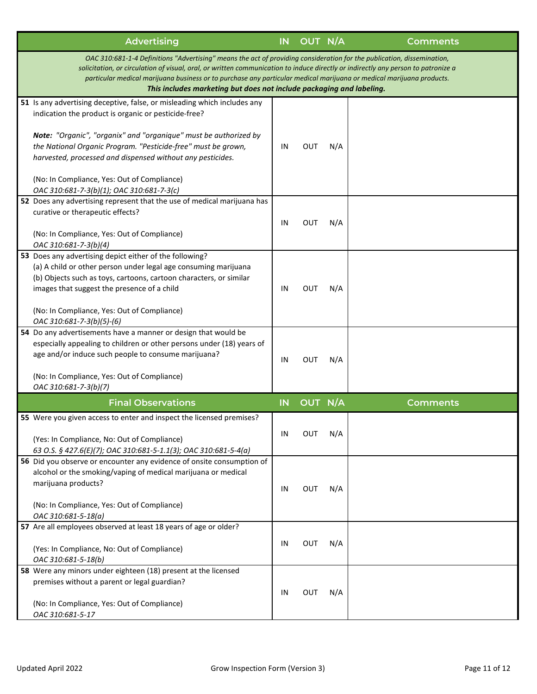| <b>Advertising</b>                                                                                                                                                                                                                                                                                                                                                                                                                                          | <b>IN</b> | OUT N/A    |     | <b>Comments</b> |  |  |  |
|-------------------------------------------------------------------------------------------------------------------------------------------------------------------------------------------------------------------------------------------------------------------------------------------------------------------------------------------------------------------------------------------------------------------------------------------------------------|-----------|------------|-----|-----------------|--|--|--|
| OAC 310:681-1-4 Definitions "Advertising" means the act of providing consideration for the publication, dissemination,<br>solicitation, or circulation of visual, oral, or written communication to induce directly or indirectly any person to patronize a<br>particular medical marijuana business or to purchase any particular medical marijuana or medical marijuana products.<br>This includes marketing but does not include packaging and labeling. |           |            |     |                 |  |  |  |
| 51 Is any advertising deceptive, false, or misleading which includes any<br>indication the product is organic or pesticide-free?                                                                                                                                                                                                                                                                                                                            |           |            |     |                 |  |  |  |
| Note: "Organic", "organix" and "organique" must be authorized by<br>the National Organic Program. "Pesticide-free" must be grown,<br>harvested, processed and dispensed without any pesticides.                                                                                                                                                                                                                                                             | IN        | <b>OUT</b> | N/A |                 |  |  |  |
| (No: In Compliance, Yes: Out of Compliance)<br>OAC 310:681-7-3(b)(1); OAC 310:681-7-3(c)                                                                                                                                                                                                                                                                                                                                                                    |           |            |     |                 |  |  |  |
| 52 Does any advertising represent that the use of medical marijuana has                                                                                                                                                                                                                                                                                                                                                                                     |           |            |     |                 |  |  |  |
| curative or therapeutic effects?                                                                                                                                                                                                                                                                                                                                                                                                                            | IN        | <b>OUT</b> | N/A |                 |  |  |  |
| (No: In Compliance, Yes: Out of Compliance)<br>OAC 310:681-7-3(b)(4)                                                                                                                                                                                                                                                                                                                                                                                        |           |            |     |                 |  |  |  |
| 53 Does any advertising depict either of the following?<br>(a) A child or other person under legal age consuming marijuana<br>(b) Objects such as toys, cartoons, cartoon characters, or similar<br>images that suggest the presence of a child<br>(No: In Compliance, Yes: Out of Compliance)                                                                                                                                                              | IN        | OUT        | N/A |                 |  |  |  |
| OAC 310:681-7-3(b)(5)-(6)                                                                                                                                                                                                                                                                                                                                                                                                                                   |           |            |     |                 |  |  |  |
| 54 Do any advertisements have a manner or design that would be<br>especially appealing to children or other persons under (18) years of<br>age and/or induce such people to consume marijuana?<br>(No: In Compliance, Yes: Out of Compliance)<br>OAC 310:681-7-3(b)(7)                                                                                                                                                                                      | IN        | OUT        | N/A |                 |  |  |  |
| <b>Final Observations</b>                                                                                                                                                                                                                                                                                                                                                                                                                                   | IN        | OUT N/A    |     | <b>Comments</b> |  |  |  |
| 55 Were you given access to enter and inspect the licensed premises?                                                                                                                                                                                                                                                                                                                                                                                        |           |            |     |                 |  |  |  |
| (Yes: In Compliance, No: Out of Compliance)<br>63 O.S. § 427.6(E)(7); OAC 310:681-5-1.1(3); OAC 310:681-5-4(a)                                                                                                                                                                                                                                                                                                                                              | IN        | <b>OUT</b> | N/A |                 |  |  |  |
| 56 Did you observe or encounter any evidence of onsite consumption of<br>alcohol or the smoking/vaping of medical marijuana or medical<br>marijuana products?<br>(No: In Compliance, Yes: Out of Compliance)                                                                                                                                                                                                                                                | IN        | <b>OUT</b> | N/A |                 |  |  |  |
| OAC 310:681-5-18(a)                                                                                                                                                                                                                                                                                                                                                                                                                                         |           |            |     |                 |  |  |  |
| 57 Are all employees observed at least 18 years of age or older?<br>(Yes: In Compliance, No: Out of Compliance)<br>OAC 310:681-5-18(b)                                                                                                                                                                                                                                                                                                                      | IN        | <b>OUT</b> | N/A |                 |  |  |  |
| 58 Were any minors under eighteen (18) present at the licensed<br>premises without a parent or legal guardian?<br>(No: In Compliance, Yes: Out of Compliance)                                                                                                                                                                                                                                                                                               | IN        | <b>OUT</b> | N/A |                 |  |  |  |
| OAC 310:681-5-17                                                                                                                                                                                                                                                                                                                                                                                                                                            |           |            |     |                 |  |  |  |